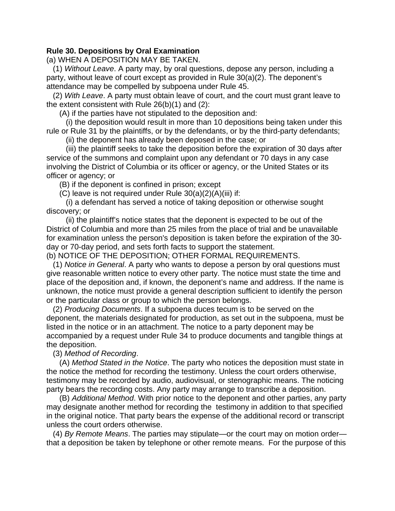## **Rule 30. Depositions by Oral Examination**

(a) WHEN A DEPOSITION MAY BE TAKEN.

 (1) *Without Leave*. A party may, by oral questions, depose any person, including a party, without leave of court except as provided in Rule 30(a)(2). The deponent's attendance may be compelled by subpoena under Rule 45.

 (2) *With Leave*. A party must obtain leave of court, and the court must grant leave to the extent consistent with Rule 26(b)(1) and (2):

(A) if the parties have not stipulated to the deposition and:

 (i) the deposition would result in more than 10 depositions being taken under this rule or Rule 31 by the plaintiffs, or by the defendants, or by the third-party defendants;

(ii) the deponent has already been deposed in the case; or

 (iii) the plaintiff seeks to take the deposition before the expiration of 30 days after service of the summons and complaint upon any defendant or 70 days in any case involving the District of Columbia or its officer or agency, or the United States or its officer or agency; or

(B) if the deponent is confined in prison; except

(C) leave is not required under Rule  $30(a)(2)(A)(iii)$  if:

 (i) a defendant has served a notice of taking deposition or otherwise sought discovery; or

 (ii) the plaintiff's notice states that the deponent is expected to be out of the District of Columbia and more than 25 miles from the place of trial and be unavailable for examination unless the person's deposition is taken before the expiration of the 30 day or 70-day period, and sets forth facts to support the statement.

(b) NOTICE OF THE DEPOSITION; OTHER FORMAL REQUIREMENTS.

 (1) *Notice in General*. A party who wants to depose a person by oral questions must give reasonable written notice to every other party. The notice must state the time and place of the deposition and, if known, the deponent's name and address. If the name is unknown, the notice must provide a general description sufficient to identify the person or the particular class or group to which the person belongs.

 (2) *Producing Documents*. If a subpoena duces tecum is to be served on the deponent, the materials designated for production, as set out in the subpoena, must be listed in the notice or in an attachment. The notice to a party deponent may be accompanied by a request under Rule 34 to produce documents and tangible things at the deposition.

(3) *Method of Recording*.

 (A) *Method Stated in the Notice*. The party who notices the deposition must state in the notice the method for recording the testimony. Unless the court orders otherwise, testimony may be recorded by audio, audiovisual, or stenographic means. The noticing party bears the recording costs. Any party may arrange to transcribe a deposition.

 (B) *Additional Method*. With prior notice to the deponent and other parties, any party may designate another method for recording the testimony in addition to that specified in the original notice. That party bears the expense of the additional record or transcript unless the court orders otherwise.

 (4) *By Remote Means*. The parties may stipulate—or the court may on motion order that a deposition be taken by telephone or other remote means. For the purpose of this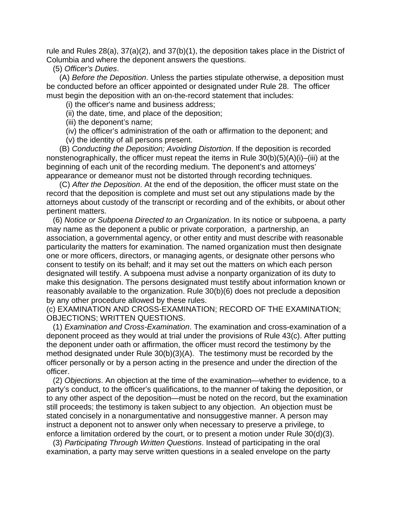rule and Rules 28(a), 37(a)(2), and 37(b)(1), the deposition takes place in the District of Columbia and where the deponent answers the questions.

(5) *Officer's Duties*.

 (A) *Before the Deposition*. Unless the parties stipulate otherwise, a deposition must be conducted before an officer appointed or designated under Rule 28. The officer must begin the deposition with an on-the-record statement that includes:

(i) the officer's name and business address;

(ii) the date, time, and place of the deposition;

(iii) the deponent's name;

(iv) the officer's administration of the oath or affirmation to the deponent; and

(v) the identity of all persons present.

 (B) *Conducting the Deposition; Avoiding Distortion*. If the deposition is recorded nonstenographically, the officer must repeat the items in Rule 30(b)(5)(A)(i)–(iii) at the beginning of each unit of the recording medium. The deponent's and attorneys' appearance or demeanor must not be distorted through recording techniques.

 (C) *After the Deposition*. At the end of the deposition, the officer must state on the record that the deposition is complete and must set out any stipulations made by the attorneys about custody of the transcript or recording and of the exhibits, or about other pertinent matters.

 (6) *Notice or Subpoena Directed to an Organization*. In its notice or subpoena, a party may name as the deponent a public or private corporation, a partnership, an association, a governmental agency, or other entity and must describe with reasonable particularity the matters for examination. The named organization must then designate one or more officers, directors, or managing agents, or designate other persons who consent to testify on its behalf; and it may set out the matters on which each person designated will testify. A subpoena must advise a nonparty organization of its duty to make this designation. The persons designated must testify about information known or reasonably available to the organization. Rule 30(b)(6) does not preclude a deposition by any other procedure allowed by these rules.

(c) EXAMINATION AND CROSS-EXAMINATION; RECORD OF THE EXAMINATION; OBJECTIONS; WRITTEN QUESTIONS.

 (1) *Examination and Cross-Examination*. The examination and cross-examination of a deponent proceed as they would at trial under the provisions of Rule 43(c). After putting the deponent under oath or affirmation, the officer must record the testimony by the method designated under Rule 30(b)(3)(A). The testimony must be recorded by the officer personally or by a person acting in the presence and under the direction of the officer.

 (2) *Objections*. An objection at the time of the examination—whether to evidence, to a party's conduct, to the officer's qualifications, to the manner of taking the deposition, or to any other aspect of the deposition—must be noted on the record, but the examination still proceeds; the testimony is taken subject to any objection. An objection must be stated concisely in a nonargumentative and nonsuggestive manner. A person may instruct a deponent not to answer only when necessary to preserve a privilege, to enforce a limitation ordered by the court, or to present a motion under Rule 30(d)(3).

 (3) *Participating Through Written Questions*. Instead of participating in the oral examination, a party may serve written questions in a sealed envelope on the party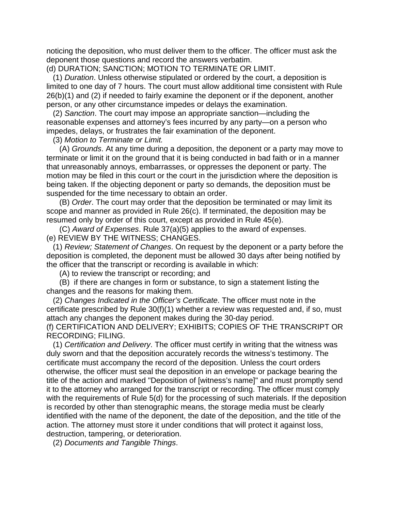noticing the deposition, who must deliver them to the officer. The officer must ask the deponent those questions and record the answers verbatim.

(d) DURATION; SANCTION; MOTION TO TERMINATE OR LIMIT.

 (1) *Duration*. Unless otherwise stipulated or ordered by the court, a deposition is limited to one day of 7 hours. The court must allow additional time consistent with Rule 26(b)(1) and (2) if needed to fairly examine the deponent or if the deponent, another person, or any other circumstance impedes or delays the examination.

 (2) *Sanction*. The court may impose an appropriate sanction—including the reasonable expenses and attorney's fees incurred by any party—on a person who impedes, delays, or frustrates the fair examination of the deponent.

(3) *Motion to Terminate or Limit.* 

 (A) *Grounds*. At any time during a deposition, the deponent or a party may move to terminate or limit it on the ground that it is being conducted in bad faith or in a manner that unreasonably annoys, embarrasses, or oppresses the deponent or party. The motion may be filed in this court or the court in the jurisdiction where the deposition is being taken. If the objecting deponent or party so demands, the deposition must be suspended for the time necessary to obtain an order.

 (B) *Order*. The court may order that the deposition be terminated or may limit its scope and manner as provided in Rule 26(c). If terminated, the deposition may be resumed only by order of this court, except as provided in Rule 45(e).

 (C) *Award of Expenses*. Rule 37(a)(5) applies to the award of expenses. (e) REVIEW BY THE WITNESS; CHANGES.

 (1) *Review; Statement of Changes*. On request by the deponent or a party before the deposition is completed, the deponent must be allowed 30 days after being notified by the officer that the transcript or recording is available in which:

(A) to review the transcript or recording; and

 (B) if there are changes in form or substance, to sign a statement listing the changes and the reasons for making them.

 (2) *Changes Indicated in the Officer's Certificate*. The officer must note in the certificate prescribed by Rule 30(f)(1) whether a review was requested and, if so, must attach any changes the deponent makes during the 30-day period. (f) CERTIFICATION AND DELIVERY; EXHIBITS; COPIES OF THE TRANSCRIPT OR

RECORDING; FILING.

 (1) *Certification and Delivery*. The officer must certify in writing that the witness was duly sworn and that the deposition accurately records the witness's testimony. The certificate must accompany the record of the deposition. Unless the court orders otherwise, the officer must seal the deposition in an envelope or package bearing the title of the action and marked "Deposition of [witness's name]" and must promptly send it to the attorney who arranged for the transcript or recording. The officer must comply with the requirements of Rule 5(d) for the processing of such materials. If the deposition is recorded by other than stenographic means, the storage media must be clearly identified with the name of the deponent, the date of the deposition, and the title of the action. The attorney must store it under conditions that will protect it against loss, destruction, tampering, or deterioration.

(2) *Documents and Tangible Things*.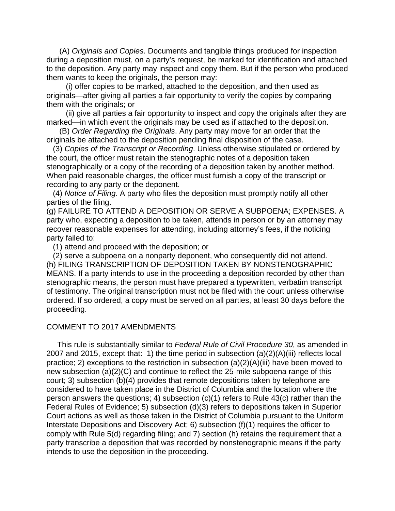(A) *Originals and Copies*. Documents and tangible things produced for inspection during a deposition must, on a party's request, be marked for identification and attached to the deposition. Any party may inspect and copy them. But if the person who produced them wants to keep the originals, the person may:

 (i) offer copies to be marked, attached to the deposition, and then used as originals—after giving all parties a fair opportunity to verify the copies by comparing them with the originals; or

 (ii) give all parties a fair opportunity to inspect and copy the originals after they are marked—in which event the originals may be used as if attached to the deposition.

 (B) *Order Regarding the Originals*. Any party may move for an order that the originals be attached to the deposition pending final disposition of the case.

 (3) *Copies of the Transcript or Recording*. Unless otherwise stipulated or ordered by the court, the officer must retain the stenographic notes of a deposition taken stenographically or a copy of the recording of a deposition taken by another method. When paid reasonable charges, the officer must furnish a copy of the transcript or recording to any party or the deponent.

 (4) *Notice of Filing*. A party who files the deposition must promptly notify all other parties of the filing.

(g) FAILURE TO ATTEND A DEPOSITION OR SERVE A SUBPOENA; EXPENSES. A party who, expecting a deposition to be taken, attends in person or by an attorney may recover reasonable expenses for attending, including attorney's fees, if the noticing party failed to:

(1) attend and proceed with the deposition; or

 (2) serve a subpoena on a nonparty deponent, who consequently did not attend. (h) FILING TRANSCRIPTION OF DEPOSITION TAKEN BY NONSTENOGRAPHIC MEANS. If a party intends to use in the proceeding a deposition recorded by other than stenographic means, the person must have prepared a typewritten, verbatim transcript of testimony. The original transcription must not be filed with the court unless otherwise ordered. If so ordered, a copy must be served on all parties, at least 30 days before the proceeding.

## COMMENT TO 2017 AMENDMENTS

 This rule is substantially similar to *Federal Rule of Civil Procedure 30*, as amended in 2007 and 2015, except that: 1) the time period in subsection (a)(2)(A)(iii) reflects local practice; 2) exceptions to the restriction in subsection (a)(2)(A)(iii) have been moved to new subsection (a)(2)(C) and continue to reflect the 25-mile subpoena range of this court; 3) subsection (b)(4) provides that remote depositions taken by telephone are considered to have taken place in the District of Columbia and the location where the person answers the questions; 4) subsection (c)(1) refers to Rule 43(c) rather than the Federal Rules of Evidence; 5) subsection (d)(3) refers to depositions taken in Superior Court actions as well as those taken in the District of Columbia pursuant to the Uniform Interstate Depositions and Discovery Act; 6) subsection (f)(1) requires the officer to comply with Rule 5(d) regarding filing; and 7) section (h) retains the requirement that a party transcribe a deposition that was recorded by nonstenographic means if the party intends to use the deposition in the proceeding.